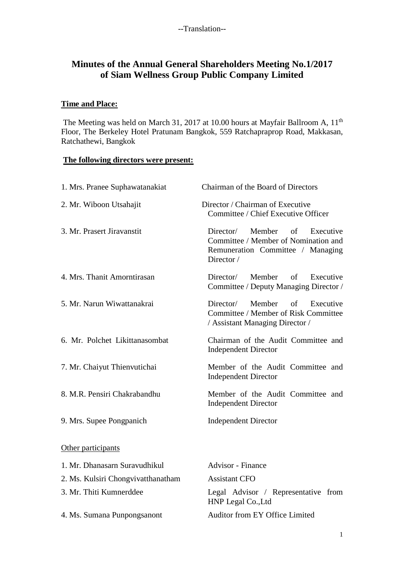# **Minutes of the Annual General Shareholders Meeting No.1/2017 of Siam Wellness Group Public Company Limited**

## **Time and Place:**

The Meeting was held on March 31, 2017 at 10.00 hours at Mayfair Ballroom A, 11<sup>th</sup> Floor, The Berkeley Hotel Pratunam Bangkok, 559 Ratchapraprop Road, Makkasan, Ratchathewi, Bangkok

#### **The following directors were present:**

| 1. Mrs. Pranee Suphawatanakiat     | Chairman of the Board of Directors                                                                                                |  |  |  |
|------------------------------------|-----------------------------------------------------------------------------------------------------------------------------------|--|--|--|
| 2. Mr. Wiboon Utsahajit            | Director / Chairman of Executive<br>Committee / Chief Executive Officer                                                           |  |  |  |
| 3. Mr. Prasert Jiravanstit         | Member<br>of<br>Director/<br>Executive<br>Committee / Member of Nomination and<br>Remuneration Committee / Managing<br>Director / |  |  |  |
| 4. Mrs. Thanit Amorntirasan        | Member<br>Director/<br>of<br>Executive<br>Committee / Deputy Managing Director /                                                  |  |  |  |
| 5. Mr. Narun Wiwattanakrai         | Member<br>Director/<br>of<br>Executive<br>Committee / Member of Risk Committee<br>/ Assistant Managing Director /                 |  |  |  |
| 6. Mr. Polchet Likittanasombat     | Chairman of the Audit Committee and<br><b>Independent Director</b>                                                                |  |  |  |
| 7. Mr. Chaiyut Thienvutichai       | Member of the Audit Committee and<br><b>Independent Director</b>                                                                  |  |  |  |
| 8. M.R. Pensiri Chakrabandhu       | Member of the Audit Committee and<br><b>Independent Director</b>                                                                  |  |  |  |
| 9. Mrs. Supee Pongpanich           | <b>Independent Director</b>                                                                                                       |  |  |  |
| Other participants                 |                                                                                                                                   |  |  |  |
| 1. Mr. Dhanasarn Suravudhikul      | <b>Advisor</b> - Finance                                                                                                          |  |  |  |
| 2. Ms. Kulsiri Chongvivatthanatham | <b>Assistant CFO</b>                                                                                                              |  |  |  |
| 3. Mr. Thiti Kumnerddee            | Legal Advisor / Representative from<br>HNP Legal Co., Ltd                                                                         |  |  |  |
| 4. Ms. Sumana Punpongsanont        | Auditor from EY Office Limited                                                                                                    |  |  |  |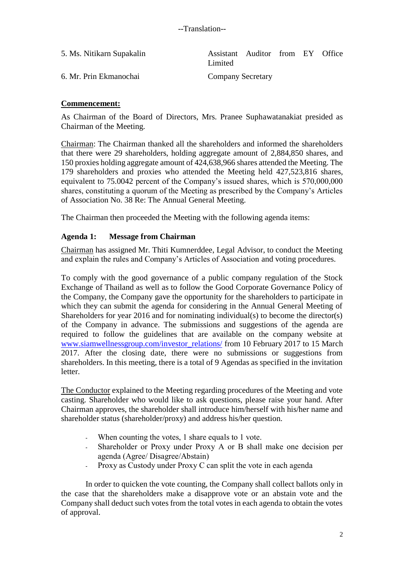| 5. Ms. Nitikarn Supakalin | Assistant Auditor from EY Office<br>Limited |  |  |
|---------------------------|---------------------------------------------|--|--|
| 6. Mr. Prin Ekmanochai    | <b>Company Secretary</b>                    |  |  |

## **Commencement:**

As Chairman of the Board of Directors, Mrs. Pranee Suphawatanakiat presided as Chairman of the Meeting.

Chairman: The Chairman thanked all the shareholders and informed the shareholders that there were 29 shareholders, holding aggregate amount of 2,884,850 shares, and 150 proxies holding aggregate amount of 424,638,966 shares attended the Meeting. The 179 shareholders and proxies who attended the Meeting held 427,523,816 shares, equivalent to 75.0042 percent of the Company's issued shares, which is 570,000,000 shares, constituting a quorum of the Meeting as prescribed by the Company's Articles of Association No. 38 Re: The Annual General Meeting.

The Chairman then proceeded the Meeting with the following agenda items:

#### **Agenda 1: Message from Chairman**

Chairman has assigned Mr. Thiti Kumnerddee, Legal Advisor, to conduct the Meeting and explain the rules and Company's Articles of Association and voting procedures.

To comply with the good governance of a public company regulation of the Stock Exchange of Thailand as well as to follow the Good Corporate Governance Policy of the Company, the Company gave the opportunity for the shareholders to participate in which they can submit the agenda for considering in the Annual General Meeting of Shareholders for year 2016 and for nominating individual(s) to become the director(s) of the Company in advance. The submissions and suggestions of the agenda are required to follow the guidelines that are available on the company website at [www.siamwellnessgroup.com/investor\\_relations/](http://www.siamwellnessgroup.com/investor_relations/) from 10 February 2017 to 15 March 2017. After the closing date, there were no submissions or suggestions from shareholders. In this meeting, there is a total of 9 Agendas as specified in the invitation letter.

The Conductor explained to the Meeting regarding procedures of the Meeting and vote casting. Shareholder who would like to ask questions, please raise your hand. After Chairman approves, the shareholder shall introduce him/herself with his/her name and shareholder status (shareholder/proxy) and address his/her question.

- When counting the votes, 1 share equals to 1 vote.
- Shareholder or Proxy under Proxy A or B shall make one decision per agenda (Agree/ Disagree/Abstain)
- Proxy as Custody under Proxy C can split the vote in each agenda

In order to quicken the vote counting, the Company shall collect ballots only in the case that the shareholders make a disapprove vote or an abstain vote and the Company shall deduct such votes from the total votes in each agenda to obtain the votes of approval.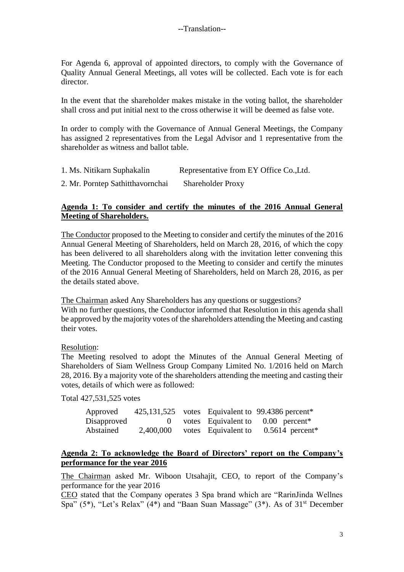For Agenda 6, approval of appointed directors, to comply with the Governance of Quality Annual General Meetings, all votes will be collected. Each vote is for each director.

In the event that the shareholder makes mistake in the voting ballot, the shareholder shall cross and put initial next to the cross otherwise it will be deemed as false vote.

In order to comply with the Governance of Annual General Meetings, the Company has assigned 2 representatives from the Legal Advisor and 1 representative from the shareholder as witness and ballot table.

| 1. Ms. Nitikarn Suphakalin | Representative from EY Office Co., Ltd. |
|----------------------------|-----------------------------------------|
|                            |                                         |

2. Mr. Porntep Sathitthavornchai Shareholder Proxy

## **Agenda 1: To consider and certify the minutes of the 2016 Annual General Meeting of Shareholders.**

The Conductor proposed to the Meeting to consider and certify the minutes of the 2016 Annual General Meeting of Shareholders, held on March 28, 2016, of which the copy has been delivered to all shareholders along with the invitation letter convening this Meeting. The Conductor proposed to the Meeting to consider and certify the minutes of the 2016 Annual General Meeting of Shareholders, held on March 28, 2016, as per the details stated above.

The Chairman asked Any Shareholders has any questions or suggestions? With no further questions, the Conductor informed that Resolution in this agenda shall be approved by the majority votes of the shareholders attending the Meeting and casting their votes.

Resolution:

The Meeting resolved to adopt the Minutes of the Annual General Meeting of Shareholders of Siam Wellness Group Company Limited No. 1/2016 held on March 28, 2016. By a majority vote of the shareholders attending the meeting and casting their votes, details of which were as followed:

Total 427,531,525 votes

| Approved    |           |                     | 425,131,525 votes Equivalent to 99.4386 percent*  |
|-------------|-----------|---------------------|---------------------------------------------------|
| Disapproved |           |                     | 0 votes Equivalent to $0.00$ percent <sup>*</sup> |
| Abstained   | 2,400,000 | votes Equivalent to | $0.5614$ percent <sup>*</sup>                     |

## **Agenda 2: To acknowledge the Board of Directors' report on the Company's performance for the year 2016**

The Chairman asked Mr. Wiboon Utsahajit, CEO, to report of the Company's performance for the year 2016

CEO stated that the Company operates 3 Spa brand which are "RarinJinda Wellnes Spa"  $(5^*)$ , "Let's Relax"  $(4^*)$  and "Baan Suan Massage"  $(3^*)$ . As of  $31<sup>st</sup>$  December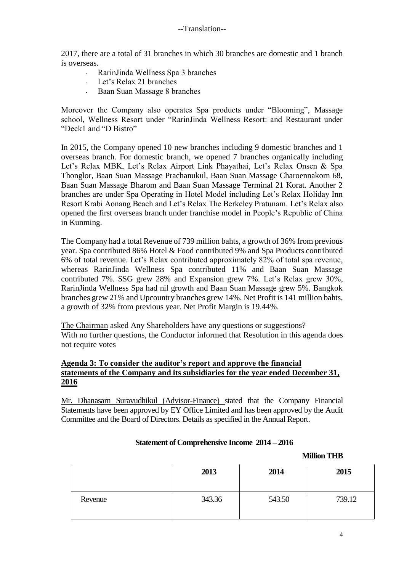2017, there are a total of 31 branches in which 30 branches are domestic and 1 branch is overseas.

- RarinJinda Wellness Spa 3 branches
- Let's Relax 21 branches
- Baan Suan Massage 8 branches

Moreover the Company also operates Spa products under "Blooming", Massage school, Wellness Resort under "RarinJinda Wellness Resort: and Restaurant under "Deck1 and "D Bistro"

In 2015, the Company opened 10 new branches including 9 domestic branches and 1 overseas branch. For domestic branch, we opened 7 branches organically including Let's Relax MBK, Let's Relax Airport Link Phayathai, Let's Relax Onsen & Spa Thonglor, Baan Suan Massage Prachanukul, Baan Suan Massage Charoennakorn 68, Baan Suan Massage Bharom and Baan Suan Massage Terminal 21 Korat. Another 2 branches are under Spa Operating in Hotel Model including Let's Relax Holiday Inn Resort Krabi Aonang Beach and Let's Relax The Berkeley Pratunam. Let's Relax also opened the first overseas branch under franchise model in People's Republic of China in Kunming.

The Company had a total Revenue of 739 million bahts, a growth of 36% from previous year. Spa contributed 86% Hotel & Food contributed 9% and Spa Products contributed 6% of total revenue. Let's Relax contributed approximately 82% of total spa revenue, whereas RarinJinda Wellness Spa contributed 11% and Baan Suan Massage contributed 7%. SSG grew 28% and Expansion grew 7%. Let's Relax grew 30%, RarinJinda Wellness Spa had nil growth and Baan Suan Massage grew 5%. Bangkok branches grew 21% and Upcountry branches grew 14%. Net Profit is 141 million bahts, a growth of 32% from previous year. Net Profit Margin is 19.44%.

The Chairman asked Any Shareholders have any questions or suggestions? With no further questions, the Conductor informed that Resolution in this agenda does not require votes

#### **Agenda 3: To consider the auditor's report and approve the financial statements of the Company and its subsidiaries for the year ended December 31, 2016**

Mr. Dhanasarn Suravudhikul (Advisor-Finance) stated that the Company Financial Statements have been approved by EY Office Limited and has been approved by the Audit Committee and the Board of Directors. Details as specified in the Annual Report.

|         | 2013   | 2014   | 2015   |
|---------|--------|--------|--------|
| Revenue | 343.36 | 543.50 | 739.12 |

## **Statement of Comprehensive Income 2014 – 2016**

**Million THB**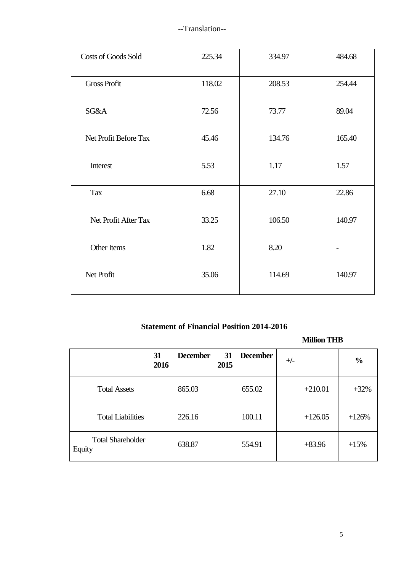| <b>Costs of Goods Sold</b> | 225.34 | 334.97 | 484.68 |
|----------------------------|--------|--------|--------|
| <b>Gross Profit</b>        | 118.02 | 208.53 | 254.44 |
| SG&A                       | 72.56  | 73.77  | 89.04  |
| Net Profit Before Tax      | 45.46  | 134.76 | 165.40 |
| Interest                   | 5.53   | 1.17   | 1.57   |
| Tax                        | 6.68   | 27.10  | 22.86  |
| Net Profit After Tax       | 33.25  | 106.50 | 140.97 |
| Other Items                | 1.82   | 8.20   |        |
| Net Profit                 | 35.06  | 114.69 | 140.97 |

# **Statement of Financial Position 2014-2016**

## **Million THB**

|                                    | <b>December</b><br>31<br>2016 | <b>December</b><br>31<br>2015 | $+/-$     | $\frac{0}{0}$ |
|------------------------------------|-------------------------------|-------------------------------|-----------|---------------|
| <b>Total Assets</b>                | 865.03                        | 655.02                        | $+210.01$ | $+32%$        |
| <b>Total Liabilities</b>           | 226.16                        | 100.11                        | $+126.05$ | $+126%$       |
| <b>Total Shareholder</b><br>Equity | 638.87                        | 554.91                        | $+83.96$  | $+15%$        |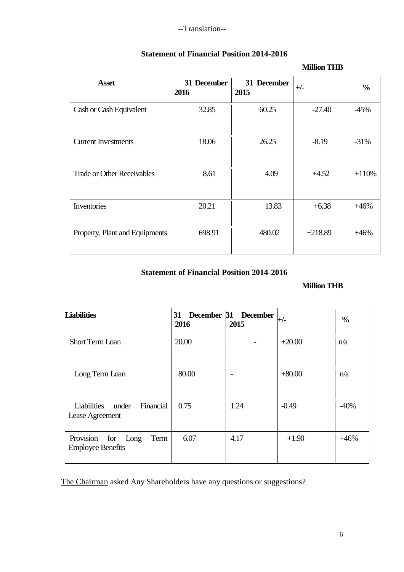| <b>Asset</b>                      | 31 December<br>2016 | 31 December<br>2015 | $+/-$     | $\frac{0}{0}$ |
|-----------------------------------|---------------------|---------------------|-----------|---------------|
| Cash or Cash Equivalent           | 32.85               | 60.25               | $-27.40$  | $-45%$        |
| <b>Current Investments</b>        | 18.06               | 26.25               | $-8.19$   | $-31%$        |
| <b>Trade or Other Receivables</b> | 8.61                | 4.09                | $+4.52$   | $+110%$       |
| Inventories                       | 20.21               | 13.83               | $+6.38$   | $+46%$        |
| Property, Plant and Equipments    | 698.91              | 480.02              | $+218.89$ | $+46%$        |

## **Statement of Financial Position 2014-2016**

# **Statement of Financial Position 2014-2016**

## **Million THB**

**Million THB**

| <b>Liabilities</b>                                           | 31 December 31 December<br>2016 | 2015 | $+/-$    | $\frac{0}{0}$ |
|--------------------------------------------------------------|---------------------------------|------|----------|---------------|
| <b>Short Term Loan</b>                                       | 20.00                           |      | $+20.00$ | n/a           |
| Long Term Loan                                               | 80.00                           |      | $+80.00$ | n/a           |
| Financial<br><b>Liabilities</b><br>under<br>Lease Agreement  | 0.75                            | 1.24 | $-0.49$  | $-40%$        |
| Provision<br>for<br>Long<br>Term<br><b>Employee Benefits</b> | 6.07                            | 4.17 | $+1.90$  | $+46%$        |

The Chairman asked Any Shareholders have any questions or suggestions?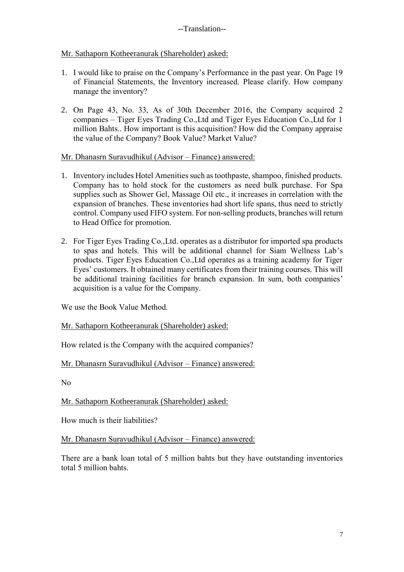## Mr. Sathaporn Kotheeranurak (Shareholder) asked:

- 1. I would like to praise on the Company's Performance in the past year. On Page 19 of Financial Statements, the Inventory increased. Please clarify. How company manage the inventory?
- 2. On Page 43, No. 33, As of 30th December 2016, the Company acquired 2 companies – Tiger Eyes Trading Co.,Ltd and Tiger Eyes Education Co.,Ltd for 1 million Bahts.. How important is this acquisition? How did the Company appraise the value of the Company? Book Value? Market Value?

Mr. Dhanasrn Suravudhikul (Advisor – Finance) answered:

- 1. Inventory includes Hotel Amenities such as toothpaste, shampoo, finished products. Company has to hold stock for the customers as need bulk purchase. For Spa supplies such as Shower Gel, Massage Oil etc., it increases in correlation with the expansion of branches. These inventories had short life spans, thus need to strictly control. Company used FIFO system. For non-selling products, branches will return to Head Office for promotion.
- 2. For Tiger Eyes Trading Co.,Ltd. operates as a distributor for imported spa products to spas and hotels. This will be additional channel for Siam Wellness Lab's products. Tiger Eyes Education Co.,Ltd operates as a training academy for Tiger Eyes' customers. It obtained many certificates from their training courses. This will be additional training facilities for branch expansion. In sum, both companies' acquisition is a value for the Company.

We use the Book Value Method.

Mr. Sathaporn Kotheeranurak (Shareholder) asked:

How related is the Company with the acquired companies?

## Mr. Dhanasrn Suravudhikul (Advisor – Finance) answered:

No

Mr. Sathaporn Kotheeranurak (Shareholder) asked:

How much is their liabilities?

Mr. Dhanasrn Suravudhikul (Advisor – Finance) answered:

There are a bank loan total of 5 million bahts but they have outstanding inventories total 5 million bahts.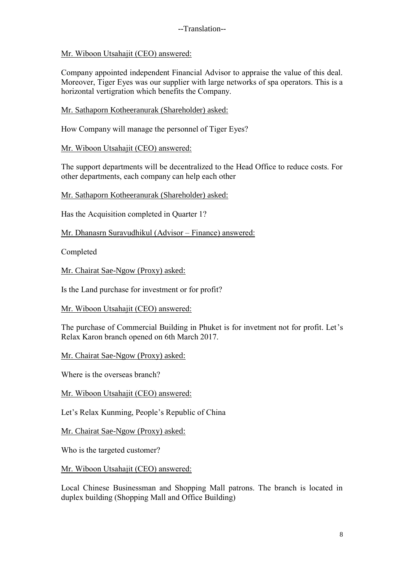Mr. Wiboon Utsahajit (CEO) answered:

Company appointed independent Financial Advisor to appraise the value of this deal. Moreover, Tiger Eyes was our supplier with large networks of spa operators. This is a horizontal vertigration which benefits the Company.

Mr. Sathaporn Kotheeranurak (Shareholder) asked:

How Company will manage the personnel of Tiger Eyes?

Mr. Wiboon Utsahajit (CEO) answered:

The support departments will be decentralized to the Head Office to reduce costs. For other departments, each company can help each other

Mr. Sathaporn Kotheeranurak (Shareholder) asked:

Has the Acquisition completed in Quarter 1?

Mr. Dhanasrn Suravudhikul (Advisor – Finance) answered:

Completed

Mr. Chairat Sae-Ngow (Proxy) asked:

Is the Land purchase for investment or for profit?

Mr. Wiboon Utsahajit (CEO) answered:

The purchase of Commercial Building in Phuket is for invetment not for profit. Let's Relax Karon branch opened on 6th March 2017.

Mr. Chairat Sae-Ngow (Proxy) asked:

Where is the overseas branch?

Mr. Wiboon Utsahajit (CEO) answered:

Let's Relax Kunming, People's Republic of China

Mr. Chairat Sae-Ngow (Proxy) asked:

Who is the targeted customer?

Mr. Wiboon Utsahajit (CEO) answered:

Local Chinese Businessman and Shopping Mall patrons. The branch is located in duplex building (Shopping Mall and Office Building)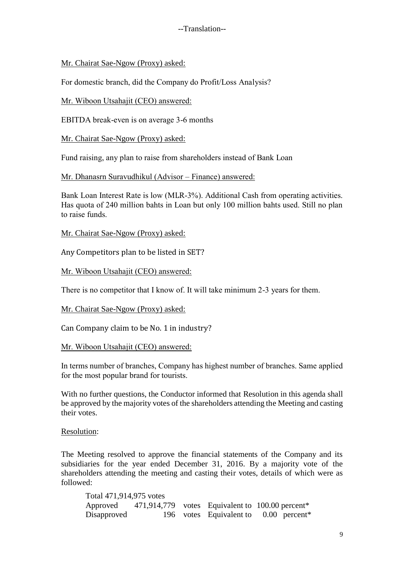#### Mr. Chairat Sae-Ngow (Proxy) asked:

For domestic branch, did the Company do Profit/Loss Analysis?

Mr. Wiboon Utsahajit (CEO) answered:

EBITDA break-even is on average 3-6 months

Mr. Chairat Sae-Ngow (Proxy) asked:

Fund raising, any plan to raise from shareholders instead of Bank Loan

Mr. Dhanasrn Suravudhikul (Advisor – Finance) answered:

Bank Loan Interest Rate is low (MLR-3%). Additional Cash from operating activities. Has quota of 240 million bahts in Loan but only 100 million bahts used. Still no plan to raise funds.

Mr. Chairat Sae-Ngow (Proxy) asked:

Any Competitors plan to be listed in SET?

Mr. Wiboon Utsahajit (CEO) answered:

There is no competitor that I know of. It will take minimum 2-3 years for them.

Mr. Chairat Sae-Ngow (Proxy) asked:

Can Company claim to be No. 1 in industry?

Mr. Wiboon Utsahajit (CEO) answered:

In terms number of branches, Company has highest number of branches. Same applied for the most popular brand for tourists.

With no further questions, the Conductor informed that Resolution in this agenda shall be approved by the majority votes of the shareholders attending the Meeting and casting their votes.

Resolution:

The Meeting resolved to approve the financial statements of the Company and its subsidiaries for the year ended December 31, 2016. By a majority vote of the shareholders attending the meeting and casting their votes, details of which were as followed:

| Total 471,914,975 votes |  |                                                          |
|-------------------------|--|----------------------------------------------------------|
|                         |  | Approved 471,914,779 votes Equivalent to 100.00 percent* |
| Disapproved             |  | 196 votes Equivalent to $0.00$ percent <sup>*</sup>      |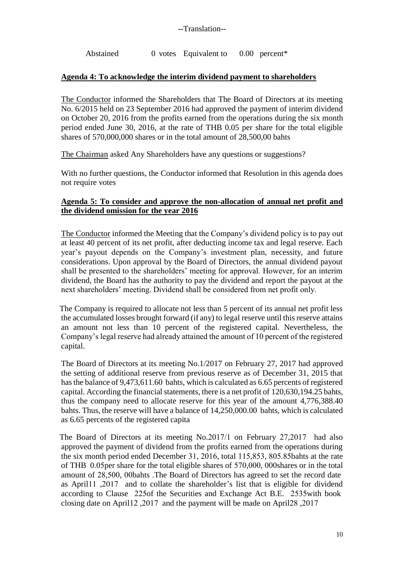Abstained 0 votes Equivalent to 0.00 percent\*

## **Agenda 4: To acknowledge the interim dividend payment to shareholders**

The Conductor informed the Shareholders that The Board of Directors at its meeting No. 6/2015 held on 23 September 2016 had approved the payment of interim dividend on October 20, 2016 from the profits earned from the operations during the six month period ended June 30, 2016, at the rate of THB 0.05 per share for the total eligible shares of 570,000,000 shares or in the total amount of 28,500,00 bahts

The Chairman asked Any Shareholders have any questions or suggestions?

With no further questions, the Conductor informed that Resolution in this agenda does not require votes

#### **Agenda 5: To consider and approve the non-allocation of annual net profit and the dividend omission for the year 2016**

The Conductor informed the Meeting that the Company's dividend policy is to pay out at least 40 percent of its net profit, after deducting income tax and legal reserve. Each year's payout depends on the Company's investment plan, necessity, and future considerations. Upon approval by the Board of Directors, the annual dividend payout shall be presented to the shareholders' meeting for approval. However, for an interim dividend, the Board has the authority to pay the dividend and report the payout at the next shareholders' meeting. Dividend shall be considered from net profit only.

The Company is required to allocate not less than 5 percent of its annual net profit less the accumulated losses brought forward (if any) to legal reserve until this reserve attains an amount not less than 10 percent of the registered capital. Nevertheless, the Company's legal reserve had already attained the amount of 10 percent of the registered capital.

The Board of Directors at its meeting No.1/2017 on February 27, 2017 had approved the setting of additional reserve from previous reserve as of December 31, 2015 that has the balance of 9,473,611.60 bahts, which is calculated as 6.65 percents of registered capital. According the financial statements, there is a net profit of 120,630,194.25 bahts, thus the company need to allocate reserve for this year of the amount 4,776,388.40 bahts. Thus, the reserve will have a balance of 14,250,000.00 bahts, which is calculated as 6.65 percents of the registered capita

The Board of Directors at its meeting No.2017/1 on February 27,2017 had also approved the payment of dividend from the profits earned from the operations during the six month period ended December 31, 2016, total 115,853, 805.85bahts at the rate of THB 0.05per share for the total eligible shares of 570,000, 000shares or in the total amount of 28,500, 00bahts .The Board of Directors has agreed to set the record date as April11 ,2017 and to collate the shareholder's list that is eligible for dividend according to Clause 225of the Securities and Exchange Act B.E. 2535with book closing date on April12 ,2017 and the payment will be made on April28 ,2017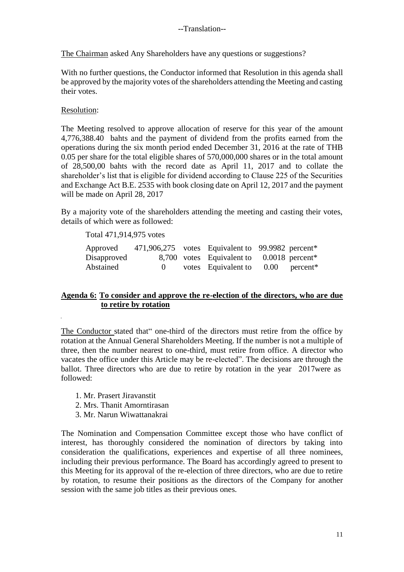The Chairman asked Any Shareholders have any questions or suggestions?

With no further questions, the Conductor informed that Resolution in this agenda shall be approved by the majority votes of the shareholders attending the Meeting and casting their votes.

#### Resolution:

The Meeting resolved to approve allocation of reserve for this year of the amount 4,776,388.40 bahts and the payment of dividend from the profits earned from the operations during the six month period ended December 31, 2016 at the rate of THB 0.05 per share for the total eligible shares of 570,000,000 shares or in the total amount of 28,500,00 bahts with the record date as April 11, 2017 and to collate the shareholder's list that is eligible for dividend according to Clause 225 of the Securities and Exchange Act B.E. 2535 with book closing date on April 12, 2017 and the payment will be made on April 28, 2017

By a majority vote of the shareholders attending the meeting and casting their votes, details of which were as followed:

#### Total 471,914,975 votes

| Approved    |              | 471,906,275 votes Equivalent to 99.9982 percent* |  |
|-------------|--------------|--------------------------------------------------|--|
| Disapproved |              | 8,700 votes Equivalent to 0.0018 percent*        |  |
| Abstained   | $\mathbf{0}$ | votes Equivalent to $0.00$ percent <sup>*</sup>  |  |

## **Agenda 6: To consider and approve the re-election of the directors, who are due to retire by rotation**

The Conductor stated that" one-third of the directors must retire from the office by rotation at the Annual General Shareholders Meeting. If the number is not a multiple of three, then the number nearest to one-third, must retire from office. A director who vacates the office under this Article may be re-elected". The decisions are through the ballot. Three directors who are due to retire by rotation in the year 2017were as followed:

- 1. Mr. Prasert Jiravanstit
- 2. Mrs. Thanit Amorntirasan
- 3. Mr. Narun Wiwattanakrai

The Nomination and Compensation Committee except those who have conflict of interest, has thoroughly considered the nomination of directors by taking into consideration the qualifications, experiences and expertise of all three nominees, including their previous performance. The Board has accordingly agreed to present to this Meeting for its approval of the re-election of three directors, who are due to retire by rotation, to resume their positions as the directors of the Company for another session with the same job titles as their previous ones.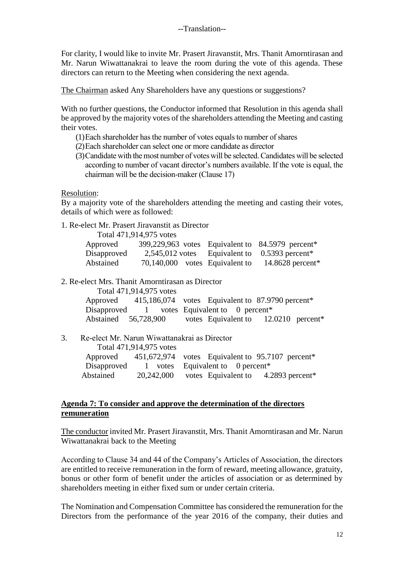For clarity, I would like to invite Mr. Prasert Jiravanstit, Mrs. Thanit Amorntirasan and Mr. Narun Wiwattanakrai to leave the room during the vote of this agenda. These directors can return to the Meeting when considering the next agenda.

The Chairman asked Any Shareholders have any questions or suggestions?

With no further questions, the Conductor informed that Resolution in this agenda shall be approved by the majority votes of the shareholders attending the Meeting and casting their votes.

- (1)Each shareholder has the number of votes equals to number of shares
- (2)Each shareholder can select one or more candidate as director
- (3)Candidate with the most number of votes will be selected. Candidates will be selected according to number of vacant director's numbers available. If the vote is equal, the chairman will be the decision-maker (Clause 17)

Resolution:

By a majority vote of the shareholders attending the meeting and casting their votes, details of which were as followed:

1. Re-elect Mr. Prasert Jiravanstit as Director

Total 471,914,975 votes

| Approved    |                                | 399,229,963 votes Equivalent to 84.5979 percent*            |
|-------------|--------------------------------|-------------------------------------------------------------|
| Disapproved |                                | $2,545,012$ votes Equivalent to 0.5393 percent <sup>*</sup> |
| Abstained   | 70,140,000 votes Equivalent to | 14.8628 percent $*$                                         |

2. Re-elect Mrs. Thanit Amorntirasan as Director

| Total 471,914,975 votes |                                                                       |  |
|-------------------------|-----------------------------------------------------------------------|--|
|                         | Approved 415,186,074 votes Equivalent to 87.9790 percent <sup>*</sup> |  |
|                         | Disapproved 1 votes Equivalent to 0 percent <sup>*</sup>              |  |
| Abstained 56,728,900    | votes Equivalent to 12.0210 percent <sup>*</sup>                      |  |

3. Re-elect Mr. Narun Wiwattanakrai as Director

|             | Total 471,914,975 votes |                                                  |
|-------------|-------------------------|--------------------------------------------------|
| Approved    |                         | 451,672,974 votes Equivalent to 95.7107 percent* |
| Disapproved |                         | 1 votes Equivalent to 0 percent*                 |
| Abstained   | 20,242,000              | votes Equivalent to 4.2893 percent*              |

#### **Agenda 7: To consider and approve the determination of the directors remuneration**

The conductor invited Mr. Prasert Jiravanstit, Mrs. Thanit Amorntirasan and Mr. Narun Wiwattanakrai back to the Meeting

According to Clause 34 and 44 of the Company's Articles of Association, the directors are entitled to receive remuneration in the form of reward, meeting allowance, gratuity, bonus or other form of benefit under the articles of association or as determined by shareholders meeting in either fixed sum or under certain criteria.

The Nomination and Compensation Committee has considered the remuneration for the Directors from the performance of the year 2016 of the company, their duties and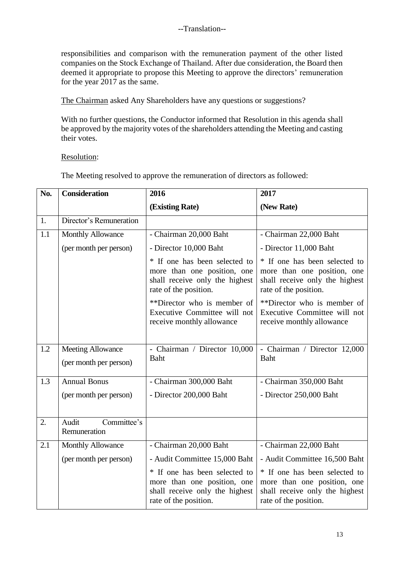responsibilities and comparison with the remuneration payment of the other listed companies on the Stock Exchange of Thailand. After due consideration, the Board then deemed it appropriate to propose this Meeting to approve the directors' remuneration for the year 2017 as the same.

The Chairman asked Any Shareholders have any questions or suggestions?

With no further questions, the Conductor informed that Resolution in this agenda shall be approved by the majority votes of the shareholders attending the Meeting and casting their votes.

Resolution:

The Meeting resolved to approve the remuneration of directors as followed:

| No. | <b>Consideration</b>                               | 2016                                                                                                                    | 2017                                                                                                                    |  |
|-----|----------------------------------------------------|-------------------------------------------------------------------------------------------------------------------------|-------------------------------------------------------------------------------------------------------------------------|--|
|     |                                                    | (Existing Rate)                                                                                                         | (New Rate)                                                                                                              |  |
| 1.  | Director's Remuneration                            |                                                                                                                         |                                                                                                                         |  |
| 1.1 | <b>Monthly Allowance</b>                           | - Chairman 20,000 Baht                                                                                                  | - Chairman 22,000 Baht                                                                                                  |  |
|     | (per month per person)                             | - Director 10,000 Baht                                                                                                  | - Director 11,000 Baht                                                                                                  |  |
|     |                                                    | * If one has been selected to<br>more than one position, one<br>shall receive only the highest<br>rate of the position. | * If one has been selected to<br>more than one position, one<br>shall receive only the highest<br>rate of the position. |  |
|     |                                                    | **Director who is member of<br>Executive Committee will not<br>receive monthly allowance                                | **Director who is member of<br>Executive Committee will not<br>receive monthly allowance                                |  |
| 1.2 | <b>Meeting Allowance</b><br>(per month per person) | - Chairman / Director 10,000<br>Baht                                                                                    | - Chairman / Director 12,000<br>Baht                                                                                    |  |
| 1.3 | <b>Annual Bonus</b>                                | - Chairman 300,000 Baht                                                                                                 | - Chairman 350,000 Baht                                                                                                 |  |
|     | (per month per person)                             | - Director 200,000 Baht                                                                                                 | - Director 250,000 Baht                                                                                                 |  |
| 2.  | Committee's<br>Audit<br>Remuneration               |                                                                                                                         |                                                                                                                         |  |
| 2.1 | <b>Monthly Allowance</b>                           | - Chairman 20,000 Baht                                                                                                  | - Chairman 22,000 Baht                                                                                                  |  |
|     | (per month per person)                             | - Audit Committee 15,000 Baht                                                                                           | - Audit Committee 16,500 Baht                                                                                           |  |
|     |                                                    | * If one has been selected to<br>more than one position, one<br>shall receive only the highest<br>rate of the position. | * If one has been selected to<br>more than one position, one<br>shall receive only the highest<br>rate of the position. |  |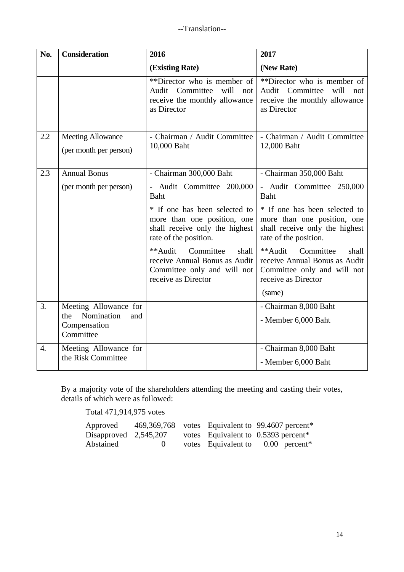| No.              | <b>Consideration</b>                               | 2016                                                                                                                    | 2017                                                                                                                    |
|------------------|----------------------------------------------------|-------------------------------------------------------------------------------------------------------------------------|-------------------------------------------------------------------------------------------------------------------------|
|                  |                                                    | (Existing Rate)                                                                                                         | (New Rate)                                                                                                              |
|                  |                                                    | **Director who is member of<br>Audit Committee<br>will<br>not<br>receive the monthly allowance<br>as Director           | **Director who is member of<br>Audit Committee<br>will<br>not<br>receive the monthly allowance<br>as Director           |
| 2.2              | <b>Meeting Allowance</b><br>(per month per person) | - Chairman / Audit Committee<br>10,000 Baht                                                                             | - Chairman / Audit Committee<br>12,000 Baht                                                                             |
| 2.3              | <b>Annual Bonus</b>                                | - Chairman 300,000 Baht                                                                                                 | - Chairman 350,000 Baht                                                                                                 |
|                  | (per month per person)                             | - Audit Committee 200,000<br>Baht                                                                                       | - Audit Committee 250,000<br>Baht                                                                                       |
|                  |                                                    | * If one has been selected to<br>more than one position, one<br>shall receive only the highest<br>rate of the position. | * If one has been selected to<br>more than one position, one<br>shall receive only the highest<br>rate of the position. |
|                  |                                                    | **Audit<br>Committee<br>shall<br>receive Annual Bonus as Audit<br>Committee only and will not<br>receive as Director    | Committee<br>**Audit<br>shall<br>receive Annual Bonus as Audit<br>Committee only and will not<br>receive as Director    |
|                  |                                                    |                                                                                                                         | (same)                                                                                                                  |
| 3.               | Meeting Allowance for<br>Nomination<br>the<br>and  |                                                                                                                         | - Chairman 8,000 Baht                                                                                                   |
|                  | Compensation<br>Committee                          |                                                                                                                         | - Member 6,000 Baht                                                                                                     |
| $\overline{4}$ . | Meeting Allowance for                              |                                                                                                                         | - Chairman 8,000 Baht                                                                                                   |
|                  | the Risk Committee                                 |                                                                                                                         | - Member 6,000 Baht                                                                                                     |

By a majority vote of the shareholders attending the meeting and casting their votes, details of which were as followed:

Total 471,914,975 votes

| Approved                |          |  | 469,369,768 votes Equivalent to 99.4607 percent*  |
|-------------------------|----------|--|---------------------------------------------------|
| $Disapproved$ 2,545,207 |          |  | votes Equivalent to $0.5393$ percent <sup>*</sup> |
| Abstained               | $\theta$ |  | votes Equivalent to $0.00$ percent <sup>*</sup>   |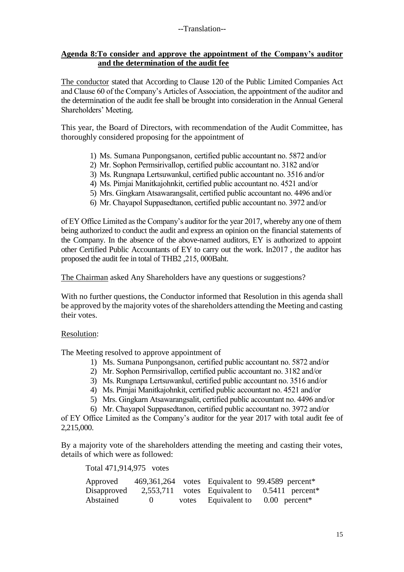#### **Agenda 8:To consider and approve the appointment of the Company's auditor and the determination of the audit fee**

The conductor stated that According to Clause 120 of the Public Limited Companies Act and Clause 60 of the Company's Articles of Association, the appointment of the auditor and the determination of the audit fee shall be brought into consideration in the Annual General Shareholders' Meeting.

This year, the Board of Directors, with recommendation of the Audit Committee, has thoroughly considered proposing for the appointment of

- 1) Ms. Sumana Punpongsanon, certified public accountant no. 5872 and/or
- 2) Mr. Sophon Permsirivallop, certified public accountant no. 3182 and/or
- 3) Ms. Rungnapa Lertsuwankul, certified public accountant no. 3516 and/or
- 4) Ms. Pimjai Manitkajohnkit, certified public accountant no. 4521 and/or
- 5) Mrs. Gingkarn Atsawarangsalit, certified public accountant no. 4496 and/or
- 6) Mr. Chayapol Suppasedtanon, certified public accountant no. 3972 and/or

of EY Office Limited as the Company's auditor for the year 2017, whereby any one of them being authorized to conduct the audit and express an opinion on the financial statements of the Company. In the absence of the above-named auditors, EY is authorized to appoint other Certified Public Accountants of EY to carry out the work. In2017 , the auditor has proposed the audit fee in total of THB2 ,215, 000Baht.

The Chairman asked Any Shareholders have any questions or suggestions?

With no further questions, the Conductor informed that Resolution in this agenda shall be approved by the majority votes of the shareholders attending the Meeting and casting their votes.

#### Resolution:

The Meeting resolved to approve appointment of

- 1) Ms. Sumana Punpongsanon, certified public accountant no. 5872 and/or
- 2) Mr. Sophon Permsirivallop, certified public accountant no. 3182 and/or
- 3) Ms. Rungnapa Lertsuwankul, certified public accountant no. 3516 and/or
- 4) Ms. Pimjai Manitkajohnkit, certified public accountant no. 4521 and/or
- 5) Mrs. Gingkarn Atsawarangsalit, certified public accountant no. 4496 and/or
- 6) Mr. Chayapol Suppasedtanon, certified public accountant no. 3972 and/or

of EY Office Limited as the Company's auditor for the year 2017 with total audit fee of 2,215,000.

By a majority vote of the shareholders attending the meeting and casting their votes, details of which were as followed:

Total 471,914,975 votes

| Approved    |              |  | 469,361,264 votes Equivalent to 99.4589 percent*            |
|-------------|--------------|--|-------------------------------------------------------------|
| Disapproved |              |  | $2,553,711$ votes Equivalent to 0.5411 percent <sup>*</sup> |
| Abstained   | $\mathbf{0}$ |  | votes Equivalent to 0.00 percent*                           |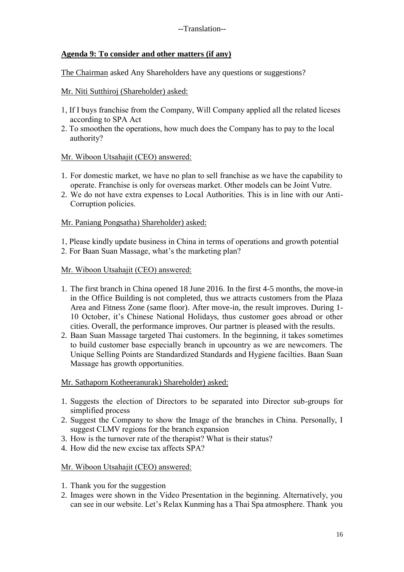## **Agenda 9: To consider and other matters (if any)**

The Chairman asked Any Shareholders have any questions or suggestions?

## Mr. Niti Sutthiroj (Shareholder) asked:

- 1, If I buys franchise from the Company, Will Company applied all the related liceses according to SPA Act
- 2. To smoothen the operations, how much does the Company has to pay to the local authority?

## Mr. Wiboon Utsahajit (CEO) answered:

- 1. For domestic market, we have no plan to sell franchise as we have the capability to operate. Franchise is only for overseas market. Other models can be Joint Vutre.
- 2. We do not have extra expenses to Local Authorities. This is in line with our Anti-Corruption policies.

## Mr. Paniang Pongsatha) Shareholder) asked:

1, Please kindly update business in China in terms of operations and growth potential

2. For Baan Suan Massage, what's the marketing plan?

## Mr. Wiboon Utsahajit (CEO) answered:

- 1. The first branch in China opened 18 June 2016. In the first 4-5 months, the move-in in the Office Building is not completed, thus we attracts customers from the Plaza Area and Fitness Zone (same floor). After move-in, the result improves. During 1- 10 October, it's Chinese National Holidays, thus customer goes abroad or other cities. Overall, the performance improves. Our partner is pleased with the results.
- 2. Baan Suan Massage targeted Thai customers. In the beginning, it takes sometimes to build customer base especially branch in upcountry as we are newcomers. The Unique Selling Points are Standardized Standards and Hygiene facilties. Baan Suan Massage has growth opportunities.

## Mr. Sathaporn Kotheeranurak) Shareholder) asked:

- 1. Suggests the election of Directors to be separated into Director sub-groups for simplified process
- 2. Suggest the Company to show the Image of the branches in China. Personally, I suggest CLMV regions for the branch expansion
- 3. How is the turnover rate of the therapist? What is their status?
- 4. How did the new excise tax affects SPA?

## Mr. Wiboon Utsahajit (CEO) answered:

- 1. Thank you for the suggestion
- 2. Images were shown in the Video Presentation in the beginning. Alternatively, you can see in our website. Let's Relax Kunming has a Thai Spa atmosphere. Thank you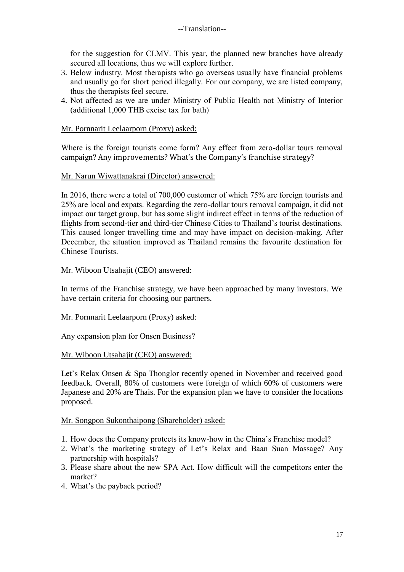for the suggestion for CLMV. This year, the planned new branches have already secured all locations, thus we will explore further.

- 3. Below industry. Most therapists who go overseas usually have financial problems and usually go for short period illegally. For our company, we are listed company, thus the therapists feel secure.
- 4. Not affected as we are under Ministry of Public Health not Ministry of Interior (additional 1,000 THB excise tax for bath)

## Mr. Pornnarit Leelaarporn (Proxy) asked:

Where is the foreign tourists come form? Any effect from zero-dollar tours removal campaign? Any improvements? What's the Company's franchise strategy?

## Mr. Narun Wiwattanakrai (Director) answered:

In 2016, there were a total of 700,000 customer of which 75% are foreign tourists and 25% are local and expats. Regarding the zero-dollar tours removal campaign, it did not impact our target group, but has some slight indirect effect in terms of the reduction of flights from second-tier and third-tier Chinese Cities to Thailand's tourist destinations. This caused longer travelling time and may have impact on decision-making. After December, the situation improved as Thailand remains the favourite destination for Chinese Tourists.

## Mr. Wiboon Utsahajit (CEO) answered:

In terms of the Franchise strategy, we have been approached by many investors. We have certain criteria for choosing our partners.

## Mr. Pornnarit Leelaarporn (Proxy) asked:

Any expansion plan for Onsen Business?

## Mr. Wiboon Utsahajit (CEO) answered:

Let's Relax Onsen & Spa Thonglor recently opened in November and received good feedback. Overall, 80% of customers were foreign of which 60% of customers were Japanese and 20% are Thais. For the expansion plan we have to consider the locations proposed.

## Mr. Songpon Sukonthaipong (Shareholder) asked:

- 1. How does the Company protects its know-how in the China's Franchise model?
- 2. What's the marketing strategy of Let's Relax and Baan Suan Massage? Any partnership with hospitals?
- 3. Please share about the new SPA Act. How difficult will the competitors enter the market?
- 4. What's the payback period?